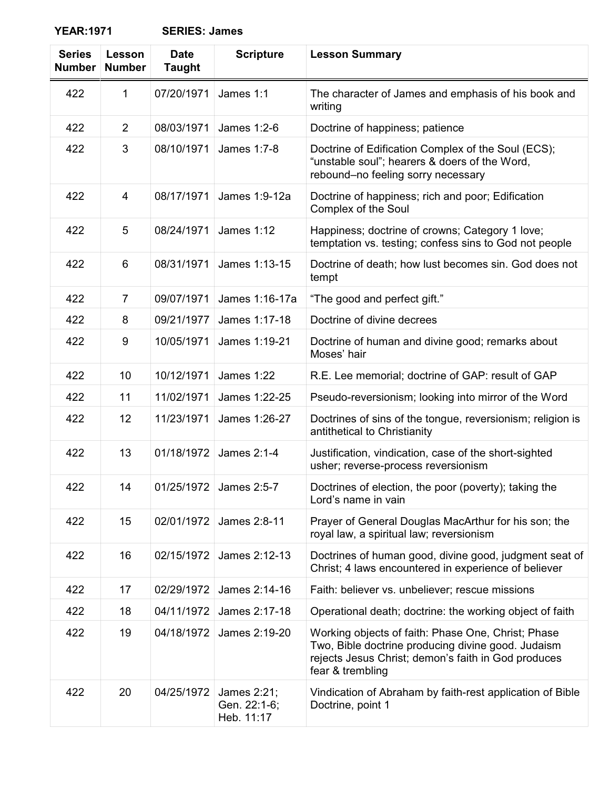**YEAR:1971 SERIES: James**

| <b>Series</b><br><b>Number</b> | Lesson<br><b>Number</b> | <b>Date</b><br><b>Taught</b> | <b>Scripture</b>                          | <b>Lesson Summary</b>                                                                                                                                                               |
|--------------------------------|-------------------------|------------------------------|-------------------------------------------|-------------------------------------------------------------------------------------------------------------------------------------------------------------------------------------|
| 422                            | 1                       | 07/20/1971                   | James 1:1                                 | The character of James and emphasis of his book and<br>writing                                                                                                                      |
| 422                            | 2                       | 08/03/1971                   | James 1:2-6                               | Doctrine of happiness; patience                                                                                                                                                     |
| 422                            | 3                       | 08/10/1971                   | James 1:7-8                               | Doctrine of Edification Complex of the Soul (ECS);<br>"unstable soul"; hearers & doers of the Word,<br>rebound-no feeling sorry necessary                                           |
| 422                            | 4                       | 08/17/1971                   | James 1:9-12a                             | Doctrine of happiness; rich and poor; Edification<br>Complex of the Soul                                                                                                            |
| 422                            | 5                       | 08/24/1971                   | <b>James 1:12</b>                         | Happiness; doctrine of crowns; Category 1 love;<br>temptation vs. testing; confess sins to God not people                                                                           |
| 422                            | 6                       | 08/31/1971                   | James 1:13-15                             | Doctrine of death; how lust becomes sin. God does not<br>tempt                                                                                                                      |
| 422                            | $\overline{7}$          | 09/07/1971                   | James 1:16-17a                            | "The good and perfect gift."                                                                                                                                                        |
| 422                            | 8                       | 09/21/1977                   | James 1:17-18                             | Doctrine of divine decrees                                                                                                                                                          |
| 422                            | 9                       | 10/05/1971                   | James 1:19-21                             | Doctrine of human and divine good; remarks about<br>Moses' hair                                                                                                                     |
| 422                            | 10                      | 10/12/1971                   | <b>James 1:22</b>                         | R.E. Lee memorial; doctrine of GAP: result of GAP                                                                                                                                   |
| 422                            | 11                      | 11/02/1971                   | James 1:22-25                             | Pseudo-reversionism; looking into mirror of the Word                                                                                                                                |
| 422                            | 12                      | 11/23/1971                   | James 1:26-27                             | Doctrines of sins of the tongue, reversionism; religion is<br>antithetical to Christianity                                                                                          |
| 422                            | 13                      | 01/18/1972                   | James 2:1-4                               | Justification, vindication, case of the short-sighted<br>usher; reverse-process reversionism                                                                                        |
| 422                            | 14                      |                              | 01/25/1972 James 2:5-7                    | Doctrines of election, the poor (poverty); taking the<br>Lord's name in vain                                                                                                        |
| 422                            | 15                      | 02/01/1972                   | James 2:8-11                              | Prayer of General Douglas MacArthur for his son; the<br>royal law, a spiritual law; reversionism                                                                                    |
| 422                            | 16                      | 02/15/1972                   | James 2:12-13                             | Doctrines of human good, divine good, judgment seat of<br>Christ; 4 laws encountered in experience of believer                                                                      |
| 422                            | 17                      | 02/29/1972                   | James 2:14-16                             | Faith: believer vs. unbeliever; rescue missions                                                                                                                                     |
| 422                            | 18                      | 04/11/1972                   | James 2:17-18                             | Operational death; doctrine: the working object of faith                                                                                                                            |
| 422                            | 19                      | 04/18/1972                   | James 2:19-20                             | Working objects of faith: Phase One, Christ; Phase<br>Two, Bible doctrine producing divine good. Judaism<br>rejects Jesus Christ; demon's faith in God produces<br>fear & trembling |
| 422                            | 20                      | 04/25/1972                   | James 2:21;<br>Gen. 22:1-6;<br>Heb. 11:17 | Vindication of Abraham by faith-rest application of Bible<br>Doctrine, point 1                                                                                                      |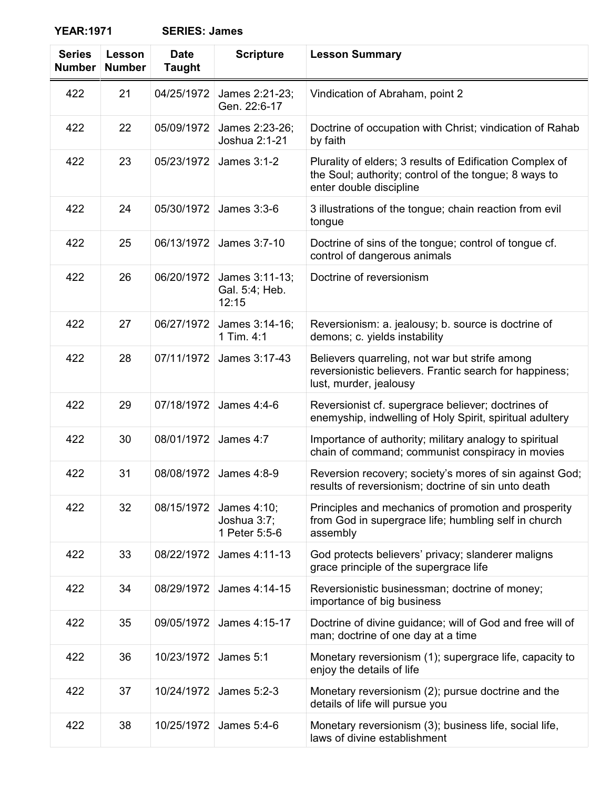**YEAR:1971 SERIES: James**

| <b>Series</b><br><b>Number</b> | Lesson<br><b>Number</b> | <b>Date</b><br><b>Taught</b> | <b>Scripture</b>                            | <b>Lesson Summary</b>                                                                                                                        |
|--------------------------------|-------------------------|------------------------------|---------------------------------------------|----------------------------------------------------------------------------------------------------------------------------------------------|
| 422                            | 21                      | 04/25/1972                   | James 2:21-23;<br>Gen. 22:6-17              | Vindication of Abraham, point 2                                                                                                              |
| 422                            | 22                      | 05/09/1972                   | James 2:23-26;<br>Joshua 2:1-21             | Doctrine of occupation with Christ; vindication of Rahab<br>by faith                                                                         |
| 422                            | 23                      | 05/23/1972                   | James 3:1-2                                 | Plurality of elders; 3 results of Edification Complex of<br>the Soul; authority; control of the tongue; 8 ways to<br>enter double discipline |
| 422                            | 24                      | 05/30/1972                   | James 3:3-6                                 | 3 illustrations of the tongue; chain reaction from evil<br>tongue                                                                            |
| 422                            | 25                      | 06/13/1972                   | James 3:7-10                                | Doctrine of sins of the tongue; control of tongue cf.<br>control of dangerous animals                                                        |
| 422                            | 26                      | 06/20/1972                   | James 3:11-13;<br>Gal. 5:4; Heb.<br>12:15   | Doctrine of reversionism                                                                                                                     |
| 422                            | 27                      | 06/27/1972                   | James 3:14-16;<br>1 Tim. 4:1                | Reversionism: a. jealousy; b. source is doctrine of<br>demons; c. yields instability                                                         |
| 422                            | 28                      | 07/11/1972                   | James 3:17-43                               | Believers quarreling, not war but strife among<br>reversionistic believers. Frantic search for happiness;<br>lust, murder, jealousy          |
| 422                            | 29                      | 07/18/1972                   | James 4:4-6                                 | Reversionist cf. supergrace believer; doctrines of<br>enemyship, indwelling of Holy Spirit, spiritual adultery                               |
| 422                            | 30                      | 08/01/1972                   | James 4:7                                   | Importance of authority; military analogy to spiritual<br>chain of command; communist conspiracy in movies                                   |
| 422                            | 31                      | 08/08/1972                   | James 4:8-9                                 | Reversion recovery; society's mores of sin against God;<br>results of reversionism; doctrine of sin unto death                               |
| 422                            | 32                      | 08/15/1972                   | James 4:10;<br>Joshua 3:7;<br>1 Peter 5:5-6 | Principles and mechanics of promotion and prosperity<br>from God in supergrace life; humbling self in church<br>assembly                     |
| 422                            | 33                      | 08/22/1972                   | James 4:11-13                               | God protects believers' privacy; slanderer maligns<br>grace principle of the supergrace life                                                 |
| 422                            | 34                      | 08/29/1972                   | James 4:14-15                               | Reversionistic businessman; doctrine of money;<br>importance of big business                                                                 |
| 422                            | 35                      | 09/05/1972                   | James 4:15-17                               | Doctrine of divine guidance; will of God and free will of<br>man; doctrine of one day at a time                                              |
| 422                            | 36                      | 10/23/1972                   | James 5:1                                   | Monetary reversionism (1); supergrace life, capacity to<br>enjoy the details of life                                                         |
| 422                            | 37                      | 10/24/1972                   | James 5:2-3                                 | Monetary reversionism (2); pursue doctrine and the<br>details of life will pursue you                                                        |
| 422                            | 38                      | 10/25/1972                   | James 5:4-6                                 | Monetary reversionism (3); business life, social life,<br>laws of divine establishment                                                       |